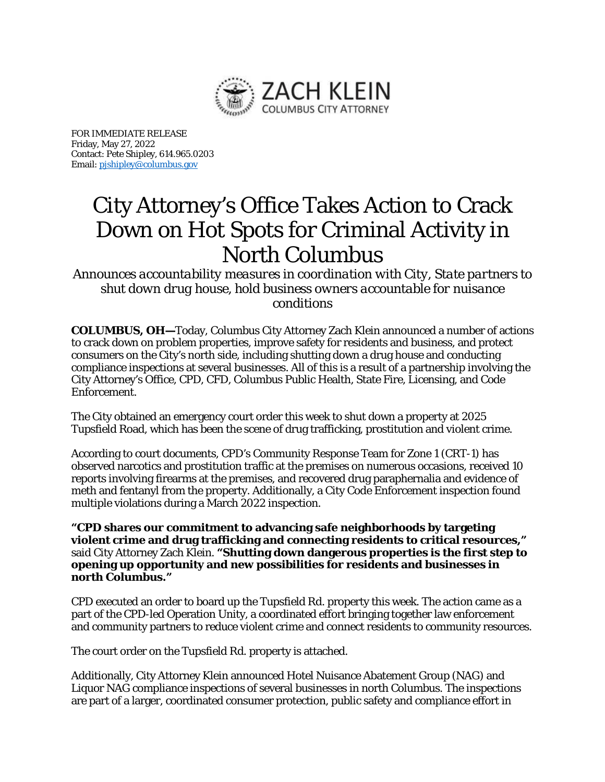

FOR IMMEDIATE RELEASE Friday, May 27, 2022 Contact: Pete Shipley, 614.965.0203 Email[: pjshipley@columbus.gov](mailto:pjshipley@columbus.gov)

## City Attorney's Office Takes Action to Crack Down on Hot Spots for Criminal Activity in North Columbus

*Announces accountability measures in coordination with City, State partners to shut down drug house, hold business owners accountable for nuisance conditions*

**COLUMBUS, OH—**Today, Columbus City Attorney Zach Klein announced a number of actions to crack down on problem properties, improve safety for residents and business, and protect consumers on the City's north side, including shutting down a drug house and conducting compliance inspections at several businesses. All of this is a result of a partnership involving the City Attorney's Office, CPD, CFD, Columbus Public Health, State Fire, Licensing, and Code Enforcement.

The City obtained an emergency court order this week to shut down a property at 2025 Tupsfield Road, which has been the scene of drug trafficking, prostitution and violent crime.

According to court documents, CPD's Community Response Team for Zone 1 (CRT-1) has observed narcotics and prostitution traffic at the premises on numerous occasions, received 10 reports involving firearms at the premises, and recovered drug paraphernalia and evidence of meth and fentanyl from the property. Additionally, a City Code Enforcement inspection found multiple violations during a March 2022 inspection.

## **"CPD shares our commitment to advancing safe neighborhoods by targeting violent crime and drug trafficking and connecting residents to critical resources,"**  said City Attorney Zach Klein. **"Shutting down dangerous properties is the first step to opening up opportunity and new possibilities for residents and businesses in north Columbus."**

CPD executed an order to board up the Tupsfield Rd. property this week. The action came as a part of the CPD-led Operation Unity, a coordinated effort bringing together law enforcement and community partners to reduce violent crime and connect residents to community resources.

The court order on the Tupsfield Rd. property is attached.

Additionally, City Attorney Klein announced Hotel Nuisance Abatement Group (NAG) and Liquor NAG compliance inspections of several businesses in north Columbus. The inspections are part of a larger, coordinated consumer protection, public safety and compliance effort in